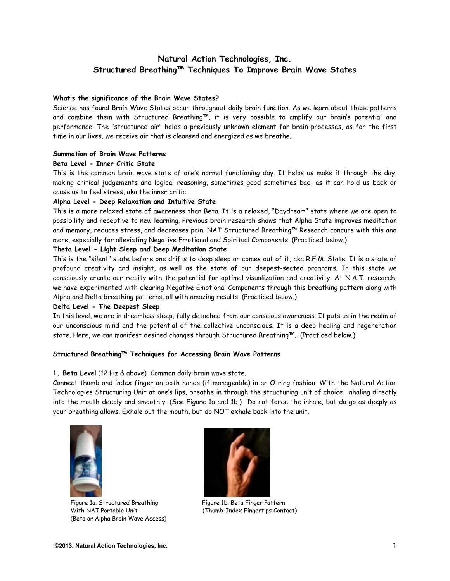### **Natural Action Technologies, Inc. Structured Breathing™ Techniques To Improve Brain Wave States**

#### **What's the significance of the Brain Wave States?**

Science has found Brain Wave States occur throughout daily brain function. As we learn about these patterns and combine them with Structured Breathing™, it is very possible to amplify our brain's potential and performance! The "structured air" holds a previously unknown element for brain processes, as for the first time in our lives, we receive air that is cleansed and energized as we breathe.

#### **Summation of Brain Wave Patterns**

### **Beta Level - Inner Critic State**

This is the common brain wave state of one's normal functioning day. It helps us make it through the day, making critical judgements and logical reasoning, sometimes good sometimes bad, as it can hold us back or cause us to feel stress, aka the inner critic.

### **Alpha Level - Deep Relaxation and Intuitive State**

This is a more relaxed state of awareness than Beta. It is a relaxed, "Daydream" state where we are open to possibility and receptive to new learning. Previous brain research shows that Alpha State improves meditation and memory, reduces stress, and decreases pain. NAT Structured Breathing™ Research concurs with this and more, especially for alleviating Negative Emotional and Spiritual Components. (Practiced below.)

#### **Theta Level - Light Sleep and Deep Meditation State**

This is the "silent" state before one drifts to deep sleep or comes out of it, aka R.E.M. State. It is a state of profound creativity and insight, as well as the state of our deepest-seated programs. In this state we consciously create our reality with the potential for optimal visualization and creativity. At N.A.T. research, we have experimented with clearing Negative Emotional Components through this breathing pattern along with Alpha and Delta breathing patterns, all with amazing results. (Practiced below.)

#### **Delta Level - The Deepest Sleep**

In this level, we are in dreamless sleep, fully detached from our conscious awareness. It puts us in the realm of our unconscious mind and the potential of the collective unconscious. It is a deep healing and regeneration state. Here, we can manifest desired changes through Structured Breathing™. (Practiced below.)

### **Structured Breathing™ Techniques for Accessing Brain Wave Patterns**

### **1. Beta Level** (12 Hz & above) Common daily brain wave state.

Connect thumb and index finger on both hands (if manageable) in an O-ring fashion. With the Natural Action Technologies Structuring Unit at one's lips, breathe in through the structuring unit of choice, inhaling directly into the mouth deeply and smoothly. (See Figure 1a and 1b.) Do not force the inhale, but do go as deeply as your breathing allows. Exhale out the mouth, but do NOT exhale back into the unit.



Figure 1a. Structured Breathing Figure 1b. Beta Finger Pattern With NAT Portable Unit (Thumb-Index Fingertips Contact) (Beta or Alpha Brain Wave Access)

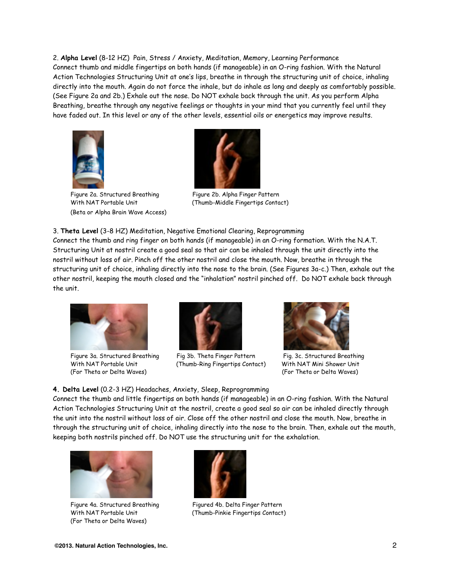2. **Alpha Level** (8-12 HZ) Pain, Stress / Anxiety, Meditation, Memory, Learning Performance Connect thumb and middle fingertips on both hands (if manageable) in an O-ring fashion. With the Natural Action Technologies Structuring Unit at one's lips, breathe in through the structuring unit of choice, inhaling directly into the mouth. Again do not force the inhale, but do inhale as long and deeply as comfortably possible. (See Figure 2a and 2b.) Exhale out the nose. Do NOT exhale back through the unit. As you perform Alpha Breathing, breathe through any negative feelings or thoughts in your mind that you currently feel until they have faded out. In this level or any of the other levels, essential oils or energetics may improve results.



Figure 2a. Structured Breathing Figure 2b. Alpha Finger Pattern (Beta or Alpha Brain Wave Access)



With NAT Portable Unit (Thumb-Middle Fingertips Contact)

3. **Theta Level** (3-8 HZ) Meditation, Negative Emotional Clearing, Reprogramming

Connect the thumb and ring finger on both hands (if manageable) in an O-ring formation. With the N.A.T. Structuring Unit at nostril create a good seal so that air can be inhaled through the unit directly into the nostril without loss of air. Pinch off the other nostril and close the mouth. Now, breathe in through the structuring unit of choice, inhaling directly into the nose to the brain. (See Figures 3a-c.) Then, exhale out the other nostril, keeping the mouth closed and the "inhalation" nostril pinched off. Do NOT exhale back through the unit.



(For Theta or Delta Waves) (For Theta or Delta Waves)



Figure 3a. Structured Breathing Fig 3b. Theta Finger Pattern Fig. 3c. Structured Breathing With NAT Portable Unit (Thumb-Ring Fingertips Contact) With NAT Mini Shower Unit



**4. Delta Level** (0.2-3 HZ) Headaches, Anxiety, Sleep, Reprogramming

Connect the thumb and little fingertips on both hands (if manageable) in an O-ring fashion. With the Natural Action Technologies Structuring Unit at the nostril, create a good seal so air can be inhaled directly through the unit into the nostril without loss of air. Close off the other nostril and close the mouth. Now, breathe in through the structuring unit of choice, inhaling directly into the nose to the brain. Then, exhale out the mouth, keeping both nostrils pinched off. Do NOT use the structuring unit for the exhalation.



Figure 4a. Structured Breathing Figured 4b. Delta Finger Pattern (For Theta or Delta Waves)



With NAT Portable Unit (Thumb-Pinkie Fingertips Contact)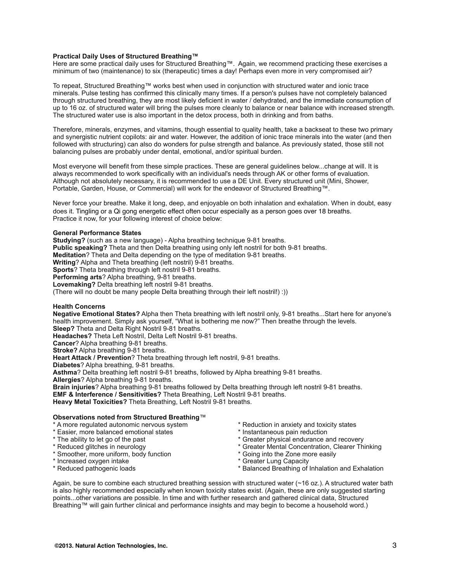#### **Practical Daily Uses of Structured Breathing™**

Here are some practical daily uses for Structured Breathing™. Again, we recommend practicing these exercises a minimum of two (maintenance) to six (therapeutic) times a day! Perhaps even more in very compromised air?

To repeat, Structured Breathing™ works best when used in conjunction with structured water and ionic trace minerals. Pulse testing has confirmed this clinically many times. If a person's pulses have not completely balanced through structured breathing, they are most likely deficient in water / dehydrated, and the immediate consumption of up to 16 oz. of structured water will bring the pulses more cleanly to balance or near balance with increased strength. The structured water use is also important in the detox process, both in drinking and from baths.

Therefore, minerals, enzymes, and vitamins, though essential to quality health, take a backseat to these two primary and synergistic nutrient copilots: air and water. However, the addition of ionic trace minerals into the water (and then followed with structuring) can also do wonders for pulse strength and balance. As previously stated, those still not balancing pulses are probably under dental, emotional, and/or spiritual burden.

Most everyone will benefit from these simple practices. These are general guidelines below...change at will. It is always recommended to work specifically with an individual's needs through AK or other forms of evaluation. Although not absolutely necessary, it is recommended to use a DE Unit. Every structured unit (Mini, Shower, Portable, Garden, House, or Commercial) will work for the endeavor of Structured Breathing™.

Never force your breathe. Make it long, deep, and enjoyable on both inhalation and exhalation. When in doubt, easy does it. Tingling or a Qi gong energetic effect often occur especially as a person goes over 18 breaths. Practice it now, for your following interest of choice below:

#### **General Performance States**

**Studying?** (such as a new language) - Alpha breathing technique 9-81 breaths. **Public speaking?** Theta and then Delta breathing using only left nostril for both 9-81 breaths. **Meditation**? Theta and Delta depending on the type of meditation 9-81 breaths. **Writing**? Alpha and Theta breathing (left nostril) 9-81 breaths. **Sports**? Theta breathing through left nostril 9-81 breaths. **Performing arts**? Alpha breathing, 9-81 breaths. **Lovemaking?** Delta breathing left nostril 9-81 breaths. (There will no doubt be many people Delta breathing through their left nostril!) :))

#### **Health Concerns**

**Negative Emotional States?** Alpha then Theta breathing with left nostril only, 9-81 breaths...Start here for anyone's health improvement. Simply ask yourself, "What is bothering me now?" Then breathe through the levels. **Sleep?** Theta and Delta Right Nostril 9-81 breaths.

**Headaches?** Theta Left Nostril, Delta Left Nostril 9-81 breaths.

**Cancer**? Alpha breathing 9-81 breaths.

**Stroke?** Alpha breathing 9-81 breaths.

**Heart Attack / Prevention**? Theta breathing through left nostril, 9-81 breaths.

**Diabetes**? Alpha breathing, 9-81 breaths.

**Asthma**? Delta breathing left nostril 9-81 breaths, followed by Alpha breathing 9-81 breaths.

**Allergies**? Alpha breathing 9-81 breaths.

**Brain injuries**? Alpha breathing 9-81 breaths followed by Delta breathing through left nostril 9-81 breaths. **EMF & Interference / Sensitivities?** Theta Breathing, Left Nostril 9-81 breaths. **Heavy Metal Toxicities?** Theta Breathing, Left Nostril 9-81 breaths.

#### **Observations noted from Structured Breathing**™

- 
- \* A more regulated autonomic nervous system \* \* Reduction in anxiety and toxicity states<br>\* Easier, more balanced emotional states \* \* \* \* \* Instantaneous pain reduction \* Easier, more balanced emotional states \* The ability to let go of the past
- 
- 
- \* Smoother, more uniform, body function
- \* Increased oxygen intake \* Greater Lung Capacity
- 
- 
- 
- \* The ability to let go of the past  $\bullet$  \* Greater physical endurance and recovery<br>\* Reduced glitches in neurology \* \* Greater Mental Concentration, Clearer Th
	- \* Greater Mental Concentration, Clearer Thinking<br>\* Going into the Zone more easily
	-
	-
- \* Reduced pathogenic loads \* Balanced Breathing of Inhalation and Exhalation

Again, be sure to combine each structured breathing session with structured water (~16 oz.). A structured water bath is also highly recommended especially when known toxicity states exist. (Again, these are only suggested starting points...other variations are possible. In time and with further research and gathered clinical data, Structured Breathing™ will gain further clinical and performance insights and may begin to become a household word.)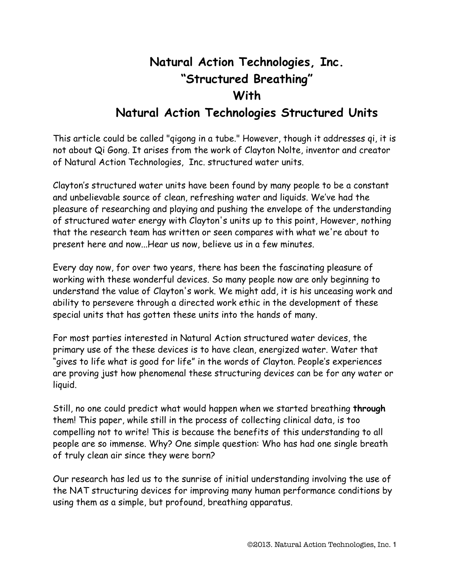# **Natural Action Technologies, Inc. "Structured Breathing" With Natural Action Technologies Structured Units**

This article could be called "qigong in a tube." However, though it addresses qi, it is not about Qi Gong. It arises from the work of Clayton Nolte, inventor and creator of Natural Action Technologies, Inc. structured water units.

Clayton's structured water units have been found by many people to be a constant and unbelievable source of clean, refreshing water and liquids. We've had the pleasure of researching and playing and pushing the envelope of the understanding of structured water energy with Clayton's units up to this point, However, nothing that the research team has written or seen compares with what we're about to present here and now...Hear us now, believe us in a few minutes.

Every day now, for over two years, there has been the fascinating pleasure of working with these wonderful devices. So many people now are only beginning to understand the value of Clayton's work. We might add, it is his unceasing work and ability to persevere through a directed work ethic in the development of these special units that has gotten these units into the hands of many.

For most parties interested in Natural Action structured water devices, the primary use of the these devices is to have clean, energized water. Water that "gives to life what is good for life" in the words of Clayton. People's experiences are proving just how phenomenal these structuring devices can be for any water or liquid.

Still, no one could predict what would happen when we started breathing **through** them! This paper, while still in the process of collecting clinical data, is too compelling not to write! This is because the benefits of this understanding to all people are so immense. Why? One simple question: Who has had one single breath of truly clean air since they were born?

Our research has led us to the sunrise of initial understanding involving the use of the NAT structuring devices for improving many human performance conditions by using them as a simple, but profound, breathing apparatus.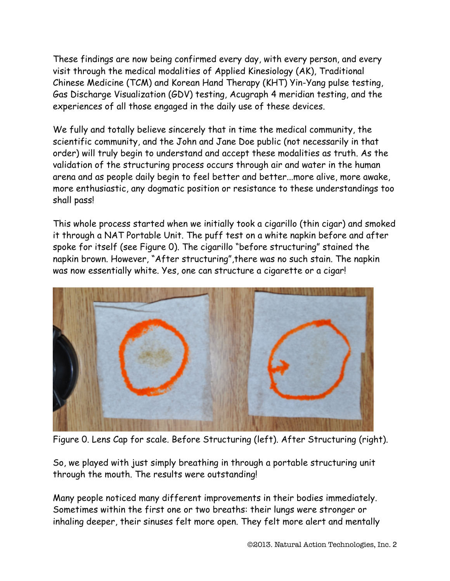These findings are now being confirmed every day, with every person, and every visit through the medical modalities of Applied Kinesiology (AK), Traditional Chinese Medicine (TCM) and Korean Hand Therapy (KHT) Yin-Yang pulse testing, Gas Discharge Visualization (GDV) testing, Acugraph 4 meridian testing, and the experiences of all those engaged in the daily use of these devices.

We fully and totally believe sincerely that in time the medical community, the scientific community, and the John and Jane Doe public (not necessarily in that order) will truly begin to understand and accept these modalities as truth. As the validation of the structuring process occurs through air and water in the human arena and as people daily begin to feel better and better...more alive, more awake, more enthusiastic, any dogmatic position or resistance to these understandings too shall pass!

This whole process started when we initially took a cigarillo (thin cigar) and smoked it through a NAT Portable Unit. The puff test on a white napkin before and after spoke for itself (see Figure 0). The cigarillo "before structuring" stained the napkin brown. However, "After structuring",there was no such stain. The napkin was now essentially white. Yes, one can structure a cigarette or a cigar!



Figure 0. Lens Cap for scale. Before Structuring (left). After Structuring (right).

So, we played with just simply breathing in through a portable structuring unit through the mouth. The results were outstanding!

Many people noticed many different improvements in their bodies immediately. Sometimes within the first one or two breaths: their lungs were stronger or inhaling deeper, their sinuses felt more open. They felt more alert and mentally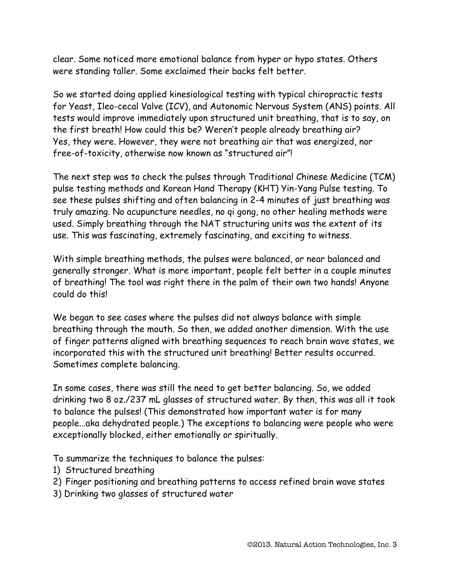clear. Some noticed more emotional balance from hyper or hypo states. Others were standing taller. Some exclaimed their backs felt better.

So we started doing applied kinesiological testing with typical chiropractic tests for Yeast, Ileo-cecal Valve (ICV), and Autonomic Nervous System (ANS) points. All tests would improve immediately upon structured unit breathing, that is to say, on the first breath! How could this be? Weren't people already breathing air? Yes, they were. However, they were not breathing air that was energized, nor free-of-toxicity, otherwise now known as "structured air"!

The next step was to check the pulses through Traditional Chinese Medicine (TCM) pulse testing methods and Korean Hand Therapy (KHT) Yin-Yang Pulse testing. To see these pulses shifting and often balancing in 2-4 minutes of just breathing was truly amazing. No acupuncture needles, no qi gong, no other healing methods were used. Simply breathing through the NAT structuring units was the extent of its use. This was fascinating, extremely fascinating, and exciting to witness.

With simple breathing methods, the pulses were balanced, or near balanced and generally stronger. What is more important, people felt better in a couple minutes of breathing! The tool was right there in the palm of their own two hands! Anyone could do this!

We began to see cases where the pulses did not always balance with simple breathing through the mouth. So then, we added another dimension. With the use of finger patterns aligned with breathing sequences to reach brain wave states, we incorporated this with the structured unit breathing! Better results occurred. Sometimes complete balancing.

In some cases, there was still the need to get better balancing. So, we added drinking two 8 oz./237 mL glasses of structured water. By then, this was all it took to balance the pulses! (This demonstrated how important water is for many people...aka dehydrated people.) The exceptions to balancing were people who were exceptionally blocked, either emotionally or spiritually.

To summarize the techniques to balance the pulses:

- 1) Structured breathing
- 2) Finger positioning and breathing patterns to access refined brain wave states
- 3) Drinking two glasses of structured water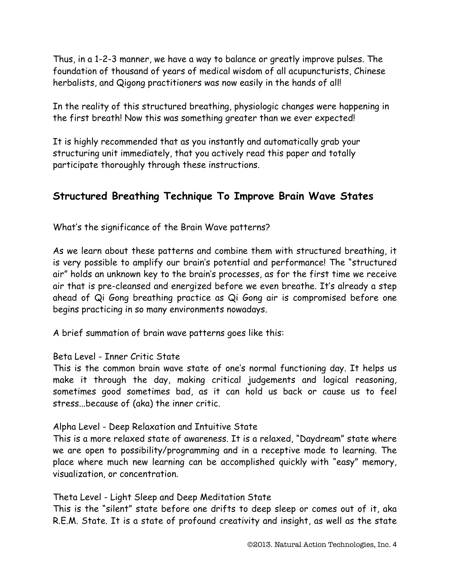Thus, in a 1-2-3 manner, we have a way to balance or greatly improve pulses. The foundation of thousand of years of medical wisdom of all acupuncturists, Chinese herbalists, and Qigong practitioners was now easily in the hands of all!

In the reality of this structured breathing, physiologic changes were happening in the first breath! Now this was something greater than we ever expected!

It is highly recommended that as you instantly and automatically grab your structuring unit immediately, that you actively read this paper and totally participate thoroughly through these instructions.

# **Structured Breathing Technique To Improve Brain Wave States**

What's the significance of the Brain Wave patterns?

As we learn about these patterns and combine them with structured breathing, it is very possible to amplify our brain's potential and performance! The "structured air" holds an unknown key to the brain's processes, as for the first time we receive air that is pre-cleansed and energized before we even breathe. It's already a step ahead of Qi Gong breathing practice as Qi Gong air is compromised before one begins practicing in so many environments nowadays.

A brief summation of brain wave patterns goes like this:

### Beta Level - Inner Critic State

This is the common brain wave state of one's normal functioning day. It helps us make it through the day, making critical judgements and logical reasoning, sometimes good sometimes bad, as it can hold us back or cause us to feel stress...because of (aka) the inner critic.

### Alpha Level - Deep Relaxation and Intuitive State

This is a more relaxed state of awareness. It is a relaxed, "Daydream" state where we are open to possibility/programming and in a receptive mode to learning. The place where much new learning can be accomplished quickly with "easy" memory, visualization, or concentration.

### Theta Level - Light Sleep and Deep Meditation State

This is the "silent" state before one drifts to deep sleep or comes out of it, aka R.E.M. State. It is a state of profound creativity and insight, as well as the state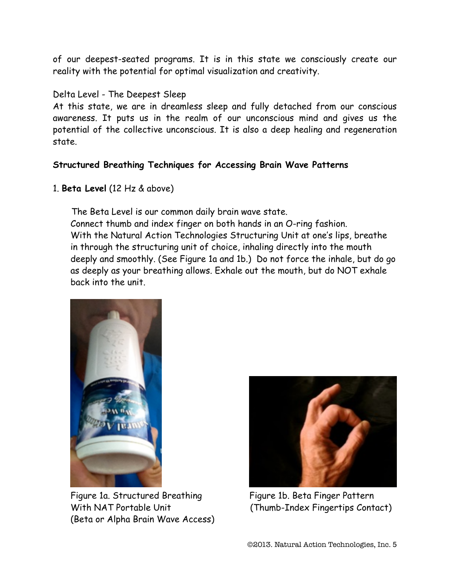of our deepest-seated programs. It is in this state we consciously create our reality with the potential for optimal visualization and creativity.

### Delta Level - The Deepest Sleep

At this state, we are in dreamless sleep and fully detached from our conscious awareness. It puts us in the realm of our unconscious mind and gives us the potential of the collective unconscious. It is also a deep healing and regeneration state.

### **Structured Breathing Techniques for Accessing Brain Wave Patterns**

1. **Beta Level** (12 Hz & above)

 The Beta Level is our common daily brain wave state. Connect thumb and index finger on both hands in an O-ring fashion. With the Natural Action Technologies Structuring Unit at one's lips, breathe in through the structuring unit of choice, inhaling directly into the mouth deeply and smoothly. (See Figure 1a and 1b.) Do not force the inhale, but do go as deeply as your breathing allows. Exhale out the mouth, but do NOT exhale back into the unit.



Figure 1a. Structured Breathing Figure 1b. Beta Finger Pattern With NAT Portable Unit (Thumb-Index Fingertips Contact) (Beta or Alpha Brain Wave Access)

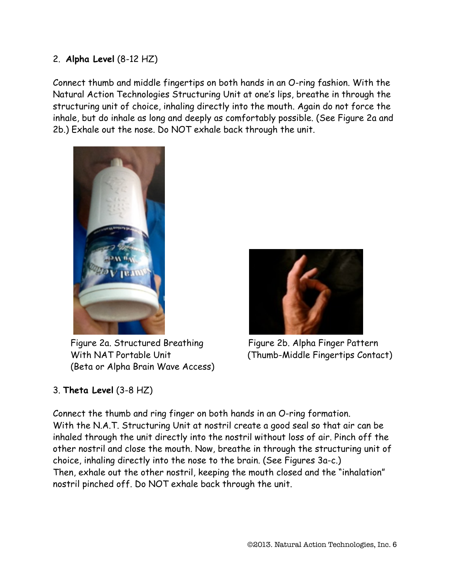### 2. **Alpha Level** (8-12 HZ)

Connect thumb and middle fingertips on both hands in an O-ring fashion. With the Natural Action Technologies Structuring Unit at one's lips, breathe in through the structuring unit of choice, inhaling directly into the mouth. Again do not force the inhale, but do inhale as long and deeply as comfortably possible. (See Figure 2a and 2b.) Exhale out the nose. Do NOT exhale back through the unit.



Figure 2a. Structured Breathing Figure 2b. Alpha Finger Pattern (Beta or Alpha Brain Wave Access)



With NAT Portable Unit (Thumb-Middle Fingertips Contact)

# 3. **Theta Level** (3-8 HZ)

Connect the thumb and ring finger on both hands in an O-ring formation. With the N.A.T. Structuring Unit at nostril create a good seal so that air can be inhaled through the unit directly into the nostril without loss of air. Pinch off the other nostril and close the mouth. Now, breathe in through the structuring unit of choice, inhaling directly into the nose to the brain. (See Figures 3a-c.) Then, exhale out the other nostril, keeping the mouth closed and the "inhalation" nostril pinched off. Do NOT exhale back through the unit.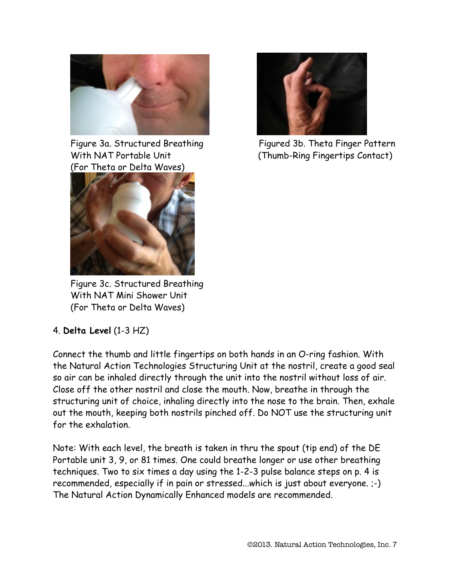

(For Theta or Delta Waves)



Figure 3a. Structured Breathing Figured 3b. Theta Finger Pattern With NAT Portable Unit (Thumb-Ring Fingertips Contact)



Figure 3c. Structured Breathing With NAT Mini Shower Unit (For Theta or Delta Waves)

# 4. **Delta Level** (1-3 HZ)

Connect the thumb and little fingertips on both hands in an O-ring fashion. With the Natural Action Technologies Structuring Unit at the nostril, create a good seal so air can be inhaled directly through the unit into the nostril without loss of air. Close off the other nostril and close the mouth. Now, breathe in through the structuring unit of choice, inhaling directly into the nose to the brain. Then, exhale out the mouth, keeping both nostrils pinched off. Do NOT use the structuring unit for the exhalation.

Note: With each level, the breath is taken in thru the spout (tip end) of the DE Portable unit 3, 9, or 81 times. One could breathe longer or use other breathing techniques. Two to six times a day using the 1-2-3 pulse balance steps on p. 4 is recommended, especially if in pain or stressed...which is just about everyone. ;-) The Natural Action Dynamically Enhanced models are recommended.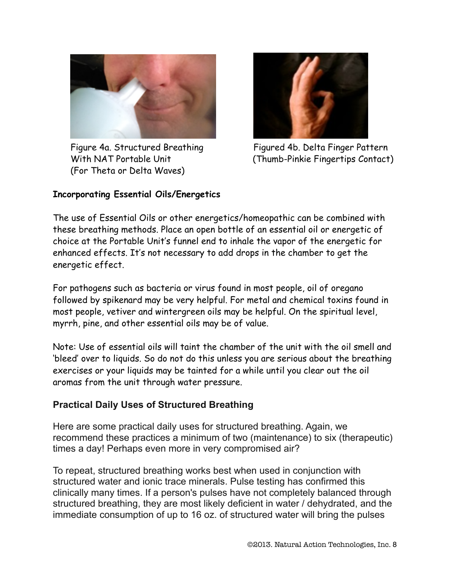

(For Theta or Delta Waves)



Figure 4a. Structured Breathing Figured 4b. Delta Finger Pattern With NAT Portable Unit (Thumb-Pinkie Fingertips Contact)

### **Incorporating Essential Oils/Energetics**

The use of Essential Oils or other energetics/homeopathic can be combined with these breathing methods. Place an open bottle of an essential oil or energetic of choice at the Portable Unit's funnel end to inhale the vapor of the energetic for enhanced effects. It's not necessary to add drops in the chamber to get the energetic effect.

For pathogens such as bacteria or virus found in most people, oil of oregano followed by spikenard may be very helpful. For metal and chemical toxins found in most people, vetiver and wintergreen oils may be helpful. On the spiritual level, myrrh, pine, and other essential oils may be of value.

Note: Use of essential oils will taint the chamber of the unit with the oil smell and 'bleed' over to liquids. So do not do this unless you are serious about the breathing exercises or your liquids may be tainted for a while until you clear out the oil aromas from the unit through water pressure.

# **Practical Daily Uses of Structured Breathing**

Here are some practical daily uses for structured breathing. Again, we recommend these practices a minimum of two (maintenance) to six (therapeutic) times a day! Perhaps even more in very compromised air?

To repeat, structured breathing works best when used in conjunction with structured water and ionic trace minerals. Pulse testing has confirmed this clinically many times. If a person's pulses have not completely balanced through structured breathing, they are most likely deficient in water / dehydrated, and the immediate consumption of up to 16 oz. of structured water will bring the pulses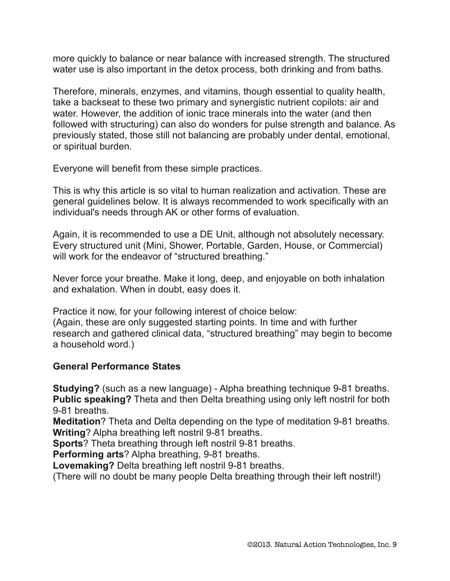more quickly to balance or near balance with increased strength. The structured water use is also important in the detox process, both drinking and from baths.

Therefore, minerals, enzymes, and vitamins, though essential to quality health, take a backseat to these two primary and synergistic nutrient copilots: air and water. However, the addition of ionic trace minerals into the water (and then followed with structuring) can also do wonders for pulse strength and balance. As previously stated, those still not balancing are probably under dental, emotional, or spiritual burden.

Everyone will benefit from these simple practices.

This is why this article is so vital to human realization and activation. These are general guidelines below. It is always recommended to work specifically with an individual's needs through AK or other forms of evaluation.

Again, it is recommended to use a DE Unit, although not absolutely necessary. Every structured unit (Mini, Shower, Portable, Garden, House, or Commercial) will work for the endeavor of "structured breathing."

Never force your breathe. Make it long, deep, and enjoyable on both inhalation and exhalation. When in doubt, easy does it.

Practice it now, for your following interest of choice below:

(Again, these are only suggested starting points. In time and with further research and gathered clinical data, "structured breathing" may begin to become a household word.)

# **General Performance States**

**Studying?** (such as a new language) - Alpha breathing technique 9-81 breaths. **Public speaking?** Theta and then Delta breathing using only left nostril for both 9-81 breaths.

**Meditation**? Theta and Delta depending on the type of meditation 9-81 breaths. **Writing**? Alpha breathing left nostril 9-81 breaths.

**Sports**? Theta breathing through left nostril 9-81 breaths.

**Performing arts**? Alpha breathing, 9-81 breaths.

**Lovemaking?** Delta breathing left nostril 9-81 breaths.

(There will no doubt be many people Delta breathing through their left nostril!)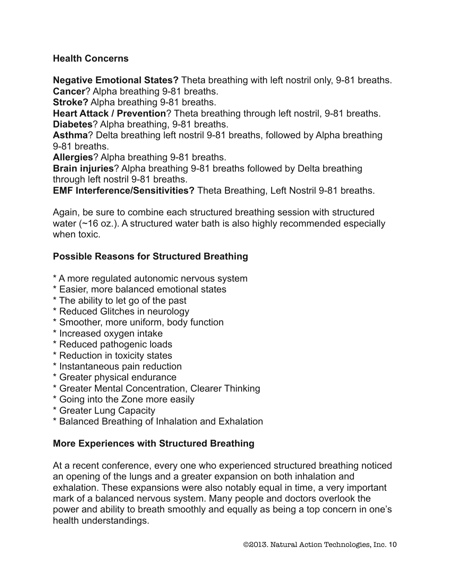### **Health Concerns**

**Negative Emotional States?** Theta breathing with left nostril only, 9-81 breaths. **Cancer**? Alpha breathing 9-81 breaths.

**Stroke?** Alpha breathing 9-81 breaths.

**Heart Attack / Prevention**? Theta breathing through left nostril, 9-81 breaths. **Diabetes**? Alpha breathing, 9-81 breaths.

**Asthma**? Delta breathing left nostril 9-81 breaths, followed by Alpha breathing 9-81 breaths.

**Allergies**? Alpha breathing 9-81 breaths.

**Brain injuries**? Alpha breathing 9-81 breaths followed by Delta breathing through left nostril 9-81 breaths.

**EMF Interference/Sensitivities?** Theta Breathing, Left Nostril 9-81 breaths.

Again, be sure to combine each structured breathing session with structured water (~16 oz.). A structured water bath is also highly recommended especially when toxic.

# **Possible Reasons for Structured Breathing**

- \* A more regulated autonomic nervous system
- \* Easier, more balanced emotional states
- \* The ability to let go of the past
- \* Reduced Glitches in neurology
- \* Smoother, more uniform, body function
- \* Increased oxygen intake
- \* Reduced pathogenic loads
- \* Reduction in toxicity states
- \* Instantaneous pain reduction
- \* Greater physical endurance
- \* Greater Mental Concentration, Clearer Thinking
- \* Going into the Zone more easily
- \* Greater Lung Capacity
- \* Balanced Breathing of Inhalation and Exhalation

### **More Experiences with Structured Breathing**

At a recent conference, every one who experienced structured breathing noticed an opening of the lungs and a greater expansion on both inhalation and exhalation. These expansions were also notably equal in time, a very important mark of a balanced nervous system. Many people and doctors overlook the power and ability to breath smoothly and equally as being a top concern in one's health understandings.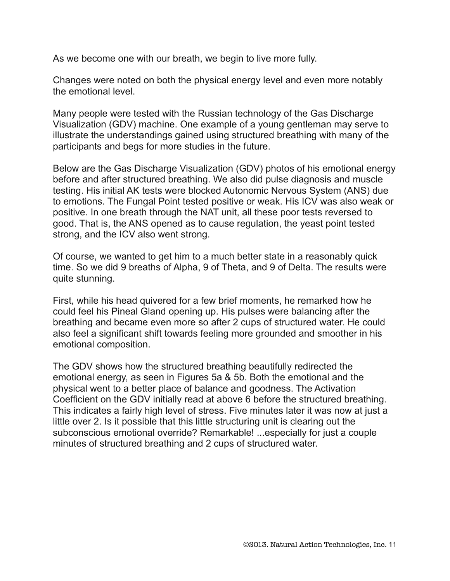As we become one with our breath, we begin to live more fully.

Changes were noted on both the physical energy level and even more notably the emotional level.

Many people were tested with the Russian technology of the Gas Discharge Visualization (GDV) machine. One example of a young gentleman may serve to illustrate the understandings gained using structured breathing with many of the participants and begs for more studies in the future.

Below are the Gas Discharge Visualization (GDV) photos of his emotional energy before and after structured breathing. We also did pulse diagnosis and muscle testing. His initial AK tests were blocked Autonomic Nervous System (ANS) due to emotions. The Fungal Point tested positive or weak. His ICV was also weak or positive. In one breath through the NAT unit, all these poor tests reversed to good. That is, the ANS opened as to cause regulation, the yeast point tested strong, and the ICV also went strong.

Of course, we wanted to get him to a much better state in a reasonably quick time. So we did 9 breaths of Alpha, 9 of Theta, and 9 of Delta. The results were quite stunning.

First, while his head quivered for a few brief moments, he remarked how he could feel his Pineal Gland opening up. His pulses were balancing after the breathing and became even more so after 2 cups of structured water. He could also feel a significant shift towards feeling more grounded and smoother in his emotional composition.

The GDV shows how the structured breathing beautifully redirected the emotional energy, as seen in Figures 5a & 5b. Both the emotional and the physical went to a better place of balance and goodness. The Activation Coefficient on the GDV initially read at above 6 before the structured breathing. This indicates a fairly high level of stress. Five minutes later it was now at just a little over 2. Is it possible that this little structuring unit is clearing out the subconscious emotional override? Remarkable! ...especially for just a couple minutes of structured breathing and 2 cups of structured water.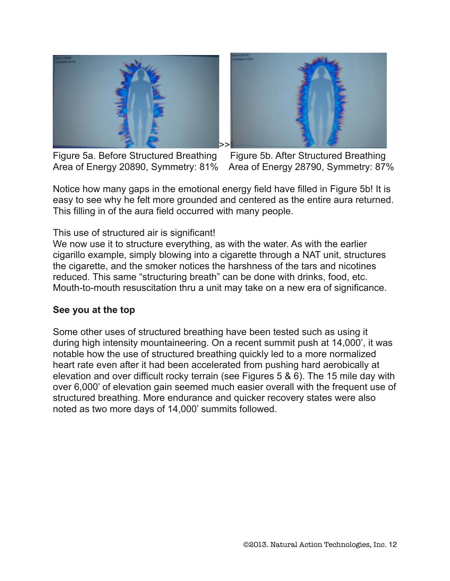



Figure 5a. Before Structured Breathing Figure 5b. After Structured Breathing

Area of Energy 20890, Symmetry: 81% Area of Energy 28790, Symmetry: 87%

Notice how many gaps in the emotional energy field have filled in Figure 5b! It is easy to see why he felt more grounded and centered as the entire aura returned. This filling in of the aura field occurred with many people.

This use of structured air is significant!

We now use it to structure everything, as with the water. As with the earlier cigarillo example, simply blowing into a cigarette through a NAT unit, structures the cigarette, and the smoker notices the harshness of the tars and nicotines reduced. This same "structuring breath" can be done with drinks, food, etc. Mouth-to-mouth resuscitation thru a unit may take on a new era of significance.

### **See you at the top**

Some other uses of structured breathing have been tested such as using it during high intensity mountaineering. On a recent summit push at 14,000', it was notable how the use of structured breathing quickly led to a more normalized heart rate even after it had been accelerated from pushing hard aerobically at elevation and over difficult rocky terrain (see Figures 5 & 6). The 15 mile day with over 6,000' of elevation gain seemed much easier overall with the frequent use of structured breathing. More endurance and quicker recovery states were also noted as two more days of 14,000' summits followed.